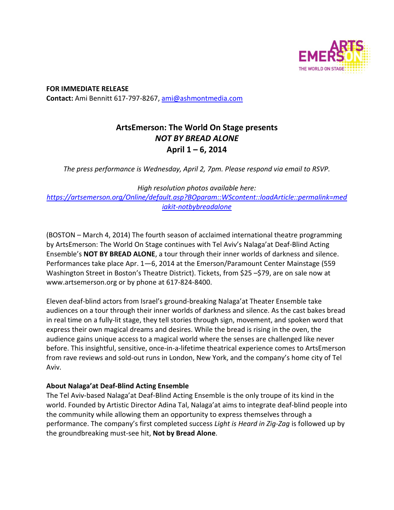

**FOR IMMEDIATE RELEASE Contact:** Ami Bennitt 617‐797‐8267, ami@ashmontmedia.com

# **ArtsEmerson: The World On Stage presents**  *NOT BY BREAD ALONE*  **April 1 – 6, 2014**

*The press performance is Wednesday, April 2, 7pm. Please respond via email to RSVP.* 

*High resolution photos available here: https://artsemerson.org/Online/default.asp?BOparam::WScontent::loadArticle::permalink=med iakit-notbybreadalone* 

(BOSTON – March 4, 2014) The fourth season of acclaimed international theatre programming by ArtsEmerson: The World On Stage continues with Tel Aviv's Nalaga'at Deaf‐Blind Acting Ensemble's **NOT BY BREAD ALONE**, a tour through their inner worlds of darkness and silence. Performances take place Apr. 1—6, 2014 at the Emerson/Paramount Center Mainstage (559 Washington Street in Boston's Theatre District). Tickets, from \$25 –\$79, are on sale now at www.artsemerson.org or by phone at 617‐824‐8400.

Eleven deaf‐blind actors from Israel's ground‐breaking Nalaga'at Theater Ensemble take audiences on a tour through their inner worlds of darkness and silence. As the cast bakes bread in real time on a fully‐lit stage, they tell stories through sign, movement, and spoken word that express their own magical dreams and desires. While the bread is rising in the oven, the audience gains unique access to a magical world where the senses are challenged like never before. This insightful, sensitive, once‐in‐a‐lifetime theatrical experience comes to ArtsEmerson from rave reviews and sold‐out runs in London, New York, and the company's home city of Tel Aviv.

### **About Nalaga'at Deaf-Blind Acting Ensemble**

The Tel Aviv‐based Nalaga'at Deaf‐Blind Acting Ensemble is the only troupe of its kind in the world. Founded by Artistic Director Adina Tal, Nalaga'at aims to integrate deaf‐blind people into the community while allowing them an opportunity to express themselves through a performance. The company's first completed success *Light is Heard in Zig-Zag* is followed up by the groundbreaking must‐see hit, **Not by Bread Alone**.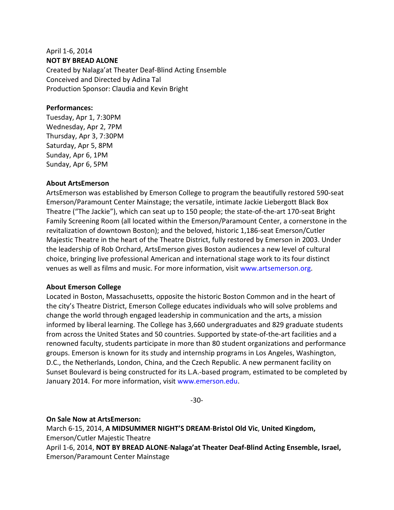## April 1‐6, 2014 **NOT BY BREAD ALONE**

Created by Nalaga'at Theater Deaf‐Blind Acting Ensemble Conceived and Directed by Adina Tal Production Sponsor: Claudia and Kevin Bright

#### **Performances:**

Tuesday, Apr 1, 7:30PM Wednesday, Apr 2, 7PM Thursday, Apr 3, 7:30PM Saturday, Apr 5, 8PM Sunday, Apr 6, 1PM Sunday, Apr 6, 5PM

#### **About ArtsEmerson**

ArtsEmerson was established by Emerson College to program the beautifully restored 590‐seat Emerson/Paramount Center Mainstage; the versatile, intimate Jackie Liebergott Black Box Theatre ("The Jackie"), which can seat up to 150 people; the state‐of‐the‐art 170‐seat Bright Family Screening Room (all located within the Emerson/Paramount Center, a cornerstone in the revitalization of downtown Boston); and the beloved, historic 1,186‐seat Emerson/Cutler Majestic Theatre in the heart of the Theatre District, fully restored by Emerson in 2003. Under the leadership of Rob Orchard, ArtsEmerson gives Boston audiences a new level of cultural choice, bringing live professional American and international stage work to its four distinct venues as well as films and music. For more information, visit www.artsemerson.org.

#### **About Emerson College**

Located in Boston, Massachusetts, opposite the historic Boston Common and in the heart of the city's Theatre District, Emerson College educates individuals who will solve problems and change the world through engaged leadership in communication and the arts, a mission informed by liberal learning. The College has 3,660 undergraduates and 829 graduate students from across the United States and 50 countries. Supported by state-of-the-art facilities and a renowned faculty, students participate in more than 80 student organizations and performance groups. Emerson is known for its study and internship programs in Los Angeles, Washington, D.C., the Netherlands, London, China, and the Czech Republic. A new permanent facility on Sunset Boulevard is being constructed for its L.A.‐based program, estimated to be completed by January 2014. For more information, visit www.emerson.edu.

‐30‐

#### **On Sale Now at ArtsEmerson:**

March 6‐15, 2014, **A MIDSUMMER NIGHT'S DREAM**‐**Bristol Old Vic**, **United Kingdom,**  Emerson/Cutler Majestic Theatre April 1‐6, 2014, **NOT BY BREAD ALONE**‐**Nalaga'at Theater Deaf-Blind Acting Ensemble, Israel,** 

Emerson/Paramount Center Mainstage